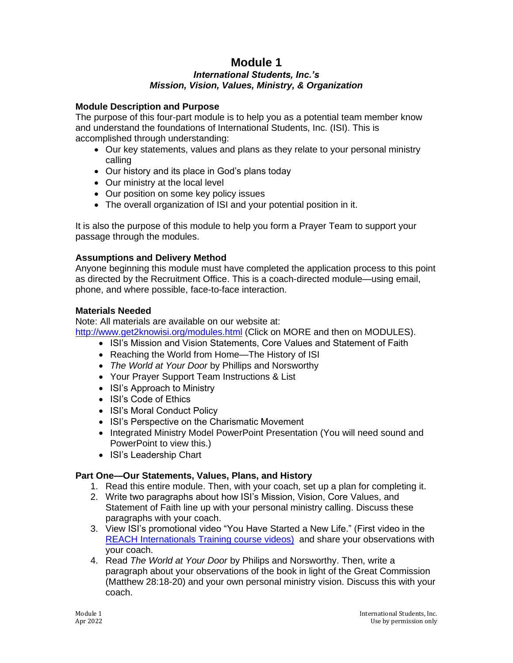## **Module 1** *International Students, Inc.'s Mission, Vision, Values, Ministry, & Organization*

### **Module Description and Purpose**

The purpose of this four-part module is to help you as a potential team member know and understand the foundations of International Students, Inc. (ISI). This is accomplished through understanding:

- Our key statements, values and plans as they relate to your personal ministry calling
- Our history and its place in God's plans today
- Our ministry at the local level
- Our position on some key policy issues
- The overall organization of ISI and your potential position in it.

It is also the purpose of this module to help you form a Prayer Team to support your passage through the modules.

#### **Assumptions and Delivery Method**

Anyone beginning this module must have completed the application process to this point as directed by the Recruitment Office. This is a coach-directed module—using email, phone, and where possible, face-to-face interaction.

#### **Materials Needed**

Note: All materials are available on our website at:

<http://www.get2knowisi.org/modules.html> (Click on MORE and then on MODULES).

- ISI's Mission and Vision Statements, Core Values and Statement of Faith
- Reaching the World from Home—The History of ISI
- *The World at Your Door* by Phillips and Norsworthy
- Your Prayer Support Team Instructions & List
- ISI's Approach to Ministry
- ISI's Code of Ethics
- ISI's Moral Conduct Policy
- ISI's Perspective on the Charismatic Movement
- Integrated Ministry Model PowerPoint Presentation (You will need sound and PowerPoint to view this.)
- ISI's Leadership Chart

#### **Part One—Our Statements, Values, Plans, and History**

- 1. Read this entire module. Then, with your coach, set up a plan for completing it.
- 2. Write two paragraphs about how ISI's Mission, Vision, Core Values, and Statement of Faith line up with your personal ministry calling. Discuss these paragraphs with your coach.
- 3. View ISI's promotional video "You Have Started a New Life." (First video in the [REACH Internationals Training course videos\)](https://www.reachinternationals.org/reach-course-sign-up) and share your observations with your coach.
- 4. Read *The World at Your Door* by Philips and Norsworthy. Then, write a paragraph about your observations of the book in light of the Great Commission (Matthew 28:18-20) and your own personal ministry vision. Discuss this with your coach.